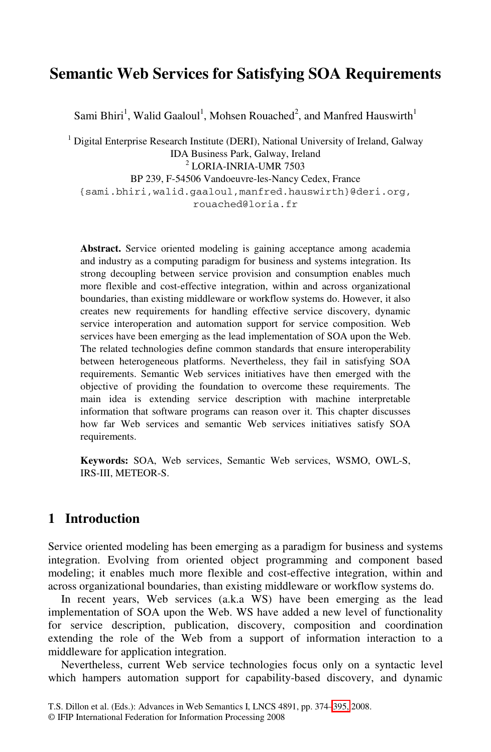# **Semantic Web Services for Satisfying SOA Requirements**

Sami Bhiri<sup>1</sup>, Walid Gaaloul<sup>1</sup>, Mohsen Rouached<sup>2</sup>, and Manfred Hauswirth<sup>1</sup>

<sup>1</sup> Digital Enterprise Research Institute (DERI), National University of Ireland, Galway IDA Business Park, Galway, Ireland 2 <sup>2</sup> LORIA-INRIA-UMR 7503 BP 239, F-54506 Vandoeuvre-les-Nancy Cedex, France {sami.bhiri,walid.gaaloul,manfred.hauswirth}@deri.org, rouached@loria.fr

**Abstract.** Service oriented modeling is gaining acceptance among academia and industry as a computing paradigm for business and systems integration. Its strong decoupling between service provision and consumption enables much more flexible and cost-effective integration, within and across organizational boundaries, than existing middleware or workflow systems do. However, it also creates new requirements for handling effective service discovery, dynamic service interoperation and automation support for service composition. Web services have been emerging as the lead implementation of SOA upon the Web. The related technologies define common standards that ensure interoperability between heterogeneous platforms. Nevertheless, they fail in satisfying SOA requirements. Semantic Web services initiatives have then emerged with the objective of providing the foundation to overcome these requirements. The main idea is extending service description with machine interpretable information that software programs can reason over it. This chapter discusses how far Web services and semantic Web services initiatives satisfy SOA requirements.

**Keywords:** SOA, Web services, Semantic Web services, WSMO, OWL-S, IRS-III, METEOR-S.

## **1 Introduction**

Service oriented modeling has been emerging as a paradigm for business and systems integration. Evolving from oriented object programming and component based modeling; it enables much more flexible and cost-effective integration, within and across organizational boundaries, than existing middleware or workflow systems do.

In recent years, Web services (a.k[.a W](#page-21-0)S) have been emerging as the lead implementation of SOA upon the Web. WS have added a new level of functionality for service description, publication, discovery, composition and coordination extending the role of the Web from a support of information interaction to a middleware for application integration.

Nevertheless, current Web service technologies focus only on a syntactic level which hampers automation support for capability-based discovery, and dynamic

T.S. Dillon et al. (Eds.): Advances in Web Semantics I, LNCS 4891, pp. 374–395, 2008.

<sup>©</sup> IFIP International Federation for Information Processing 2008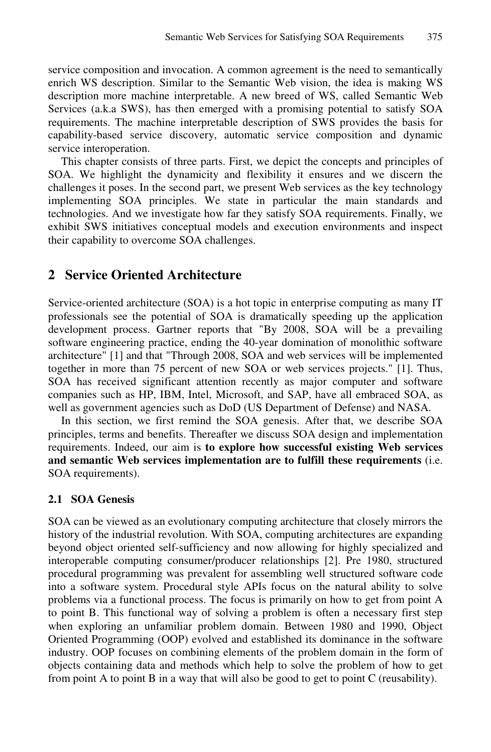service composition and invocation. A common agreement is the need to semantically enrich WS description. Similar to the Semantic Web vision, the idea is making WS description more machine interpretable. A new breed of WS, called Semantic Web Services (a.k.a SWS), has then emerged with a promising potential to satisfy SOA requirements. The machine interpretable description of SWS provides the basis for capability-based service discovery, automatic service composition and dynamic service interoperation.

This chapter consists of three parts. First, we depict the concepts and principles of SOA. We highlight the dynamicity and flexibility it ensures and we discern the challenges it poses. In the second part, we present Web services as the key technology implementing SOA principles. We state in particular the main standards and technologies. And we investigate how far they satisfy SOA requirements. Finally, we exhibit SWS initiatives conceptual models and execution environments and inspect their capability to overcome SOA challenges.

### **2 Service Oriented Architecture**

Service-oriented architecture (SOA) is a hot topic in enterprise computing as many IT professionals see the potential of SOA is dramatically speeding up the application development process. Gartner reports that "By 2008, SOA will be a prevailing software engineering practice, ending the 40-year domination of monolithic software architecture" [1] and that "Through 2008, SOA and web services will be implemented together in more than 75 percent of new SOA or web services projects." [1]. Thus, SOA has received significant attention recently as major computer and software companies such as HP, IBM, Intel, Microsoft, and SAP, have all embraced SOA, as well as government agencies such as DoD (US Department of Defense) and NASA.

In this section, we first remind the SOA genesis. After that, we describe SOA principles, terms and benefits. Thereafter we discuss SOA design and implementation requirements. Indeed, our aim is **to explore how successful existing Web services and semantic Web services implementation are to fulfill these requirements** (i.e. SOA requirements).

#### **2.1 SOA Genesis**

SOA can be viewed as an evolutionary computing architecture that closely mirrors the history of the industrial revolution. With SOA, computing architectures are expanding beyond object oriented self-sufficiency and now allowing for highly specialized and interoperable computing consumer/producer relationships [2]. Pre 1980, structured procedural programming was prevalent for assembling well structured software code into a software system. Procedural style APIs focus on the natural ability to solve problems via a functional process. The focus is primarily on how to get from point A to point B. This functional way of solving a problem is often a necessary first step when exploring an unfamiliar problem domain. Between 1980 and 1990, Object Oriented Programming (OOP) evolved and established its dominance in the software industry. OOP focuses on combining elements of the problem domain in the form of objects containing data and methods which help to solve the problem of how to get from point A to point B in a way that will also be good to get to point C (reusability).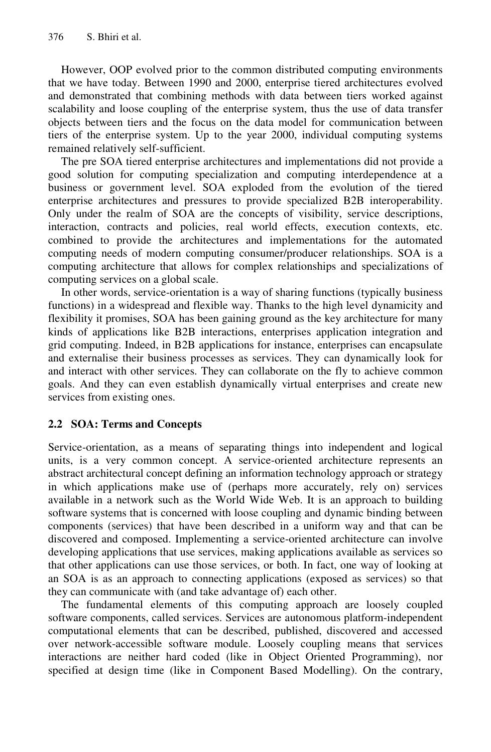However, OOP evolved prior to the common distributed computing environments that we have today. Between 1990 and 2000, enterprise tiered architectures evolved and demonstrated that combining methods with data between tiers worked against scalability and loose coupling of the enterprise system, thus the use of data transfer objects between tiers and the focus on the data model for communication between tiers of the enterprise system. Up to the year 2000, individual computing systems remained relatively self-sufficient.

The pre SOA tiered enterprise architectures and implementations did not provide a good solution for computing specialization and computing interdependence at a business or government level. SOA exploded from the evolution of the tiered enterprise architectures and pressures to provide specialized B2B interoperability. Only under the realm of SOA are the concepts of visibility, service descriptions, interaction, contracts and policies, real world effects, execution contexts, etc. combined to provide the architectures and implementations for the automated computing needs of modern computing consumer/producer relationships. SOA is a computing architecture that allows for complex relationships and specializations of computing services on a global scale.

In other words, service-orientation is a way of sharing functions (typically business functions) in a widespread and flexible way. Thanks to the high level dynamicity and flexibility it promises, SOA has been gaining ground as the key architecture for many kinds of applications like B2B interactions, enterprises application integration and grid computing. Indeed, in B2B applications for instance, enterprises can encapsulate and externalise their business processes as services. They can dynamically look for and interact with other services. They can collaborate on the fly to achieve common goals. And they can even establish dynamically virtual enterprises and create new services from existing ones.

### **2.2 SOA: Terms and Concepts**

Service-orientation, as a means of separating things into independent and logical units, is a very common concept. A service-oriented architecture represents an abstract architectural concept defining an information technology approach or strategy in which applications make use of (perhaps more accurately, rely on) services available in a network such as the World Wide Web. It is an approach to building software systems that is concerned with loose coupling and dynamic binding between components (services) that have been described in a uniform way and that can be discovered and composed. Implementing a service-oriented architecture can involve developing applications that use services, making applications available as services so that other applications can use those services, or both. In fact, one way of looking at an SOA is as an approach to connecting applications (exposed as services) so that they can communicate with (and take advantage of) each other.

The fundamental elements of this computing approach are loosely coupled software components, called services. Services are autonomous platform-independent computational elements that can be described, published, discovered and accessed over network-accessible software module. Loosely coupling means that services interactions are neither hard coded (like in Object Oriented Programming), nor specified at design time (like in Component Based Modelling). On the contrary,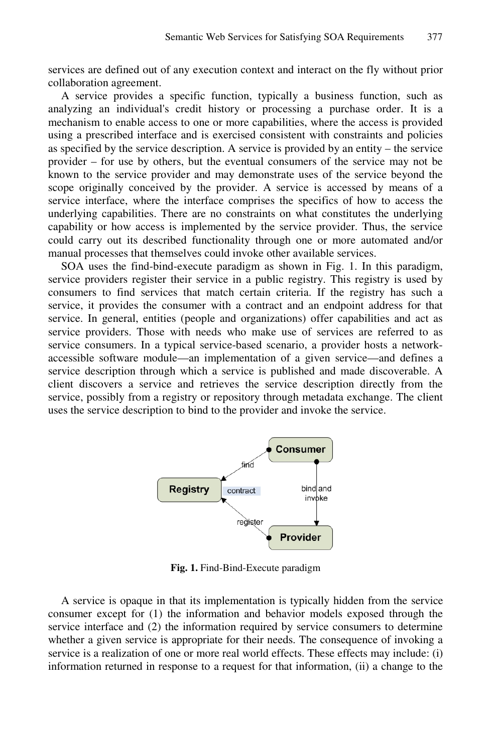services are defined out of any execution context and interact on the fly without prior collaboration agreement.

A service provides a specific function, typically a business function, such as analyzing an individual's credit history or processing a purchase order. It is a mechanism to enable access to one or more capabilities, where the access is provided using a prescribed interface and is exercised consistent with constraints and policies as specified by the service description. A service is provided by an entity – the service provider – for use by others, but the eventual consumers of the service may not be known to the service provider and may demonstrate uses of the service beyond the scope originally conceived by the provider. A service is accessed by means of a service interface, where the interface comprises the specifics of how to access the underlying capabilities. There are no constraints on what constitutes the underlying capability or how access is implemented by the service provider. Thus, the service could carry out its described functionality through one or more automated and/or manual processes that themselves could invoke other available services.

SOA uses the find-bind-execute paradigm as shown in Fig. 1. In this paradigm, service providers register their service in a public registry. This registry is used by consumers to find services that match certain criteria. If the registry has such a service, it provides the consumer with a contract and an endpoint address for that service. In general, entities (people and organizations) offer capabilities and act as service providers. Those with needs who make use of services are referred to as service consumers. In a typical service-based scenario, a provider hosts a networkaccessible software module—an implementation of a given service—and defines a service description through which a service is published and made discoverable. A client discovers a service and retrieves the service description directly from the service, possibly from a registry or repository through metadata exchange. The client uses the service description to bind to the provider and invoke the service.



**Fig. 1.** Find-Bind-Execute paradigm

A service is opaque in that its implementation is typically hidden from the service consumer except for (1) the information and behavior models exposed through the service interface and (2) the information required by service consumers to determine whether a given service is appropriate for their needs. The consequence of invoking a service is a realization of one or more real world effects. These effects may include: (i) information returned in response to a request for that information, (ii) a change to the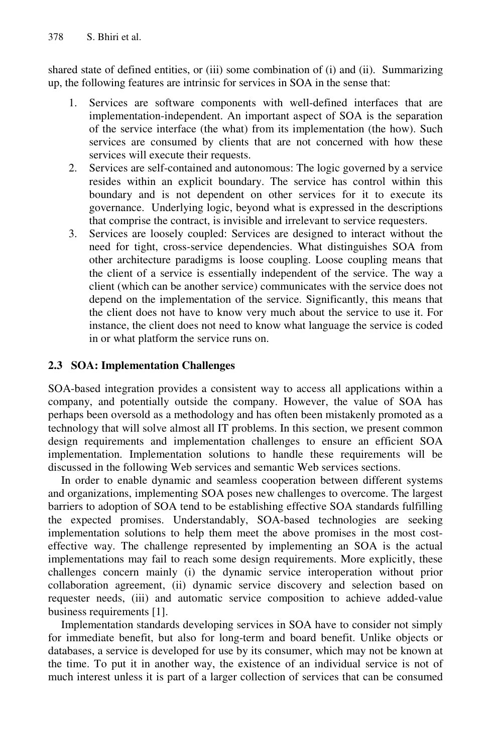shared state of defined entities, or (iii) some combination of (i) and (ii). Summarizing up, the following features are intrinsic for services in SOA in the sense that:

- 1. Services are software components with well-defined interfaces that are implementation-independent. An important aspect of SOA is the separation of the service interface (the what) from its implementation (the how). Such services are consumed by clients that are not concerned with how these services will execute their requests.
- 2. Services are self-contained and autonomous: The logic governed by a service resides within an explicit boundary. The service has control within this boundary and is not dependent on other services for it to execute its governance. Underlying logic, beyond what is expressed in the descriptions that comprise the contract, is invisible and irrelevant to service requesters.
- 3. Services are loosely coupled: Services are designed to interact without the need for tight, cross-service dependencies. What distinguishes SOA from other architecture paradigms is loose coupling. Loose coupling means that the client of a service is essentially independent of the service. The way a client (which can be another service) communicates with the service does not depend on the implementation of the service. Significantly, this means that the client does not have to know very much about the service to use it. For instance, the client does not need to know what language the service is coded in or what platform the service runs on.

### **2.3 SOA: Implementation Challenges**

SOA-based integration provides a consistent way to access all applications within a company, and potentially outside the company. However, the value of SOA has perhaps been oversold as a methodology and has often been mistakenly promoted as a technology that will solve almost all IT problems. In this section, we present common design requirements and implementation challenges to ensure an efficient SOA implementation. Implementation solutions to handle these requirements will be discussed in the following Web services and semantic Web services sections.

In order to enable dynamic and seamless cooperation between different systems and organizations, implementing SOA poses new challenges to overcome. The largest barriers to adoption of SOA tend to be establishing effective SOA standards fulfilling the expected promises. Understandably, SOA-based technologies are seeking implementation solutions to help them meet the above promises in the most costeffective way. The challenge represented by implementing an SOA is the actual implementations may fail to reach some design requirements. More explicitly, these challenges concern mainly (i) the dynamic service interoperation without prior collaboration agreement, (ii) dynamic service discovery and selection based on requester needs, (iii) and automatic service composition to achieve added-value business requirements [1].

Implementation standards developing services in SOA have to consider not simply for immediate benefit, but also for long-term and board benefit. Unlike objects or databases, a service is developed for use by its consumer, which may not be known at the time. To put it in another way, the existence of an individual service is not of much interest unless it is part of a larger collection of services that can be consumed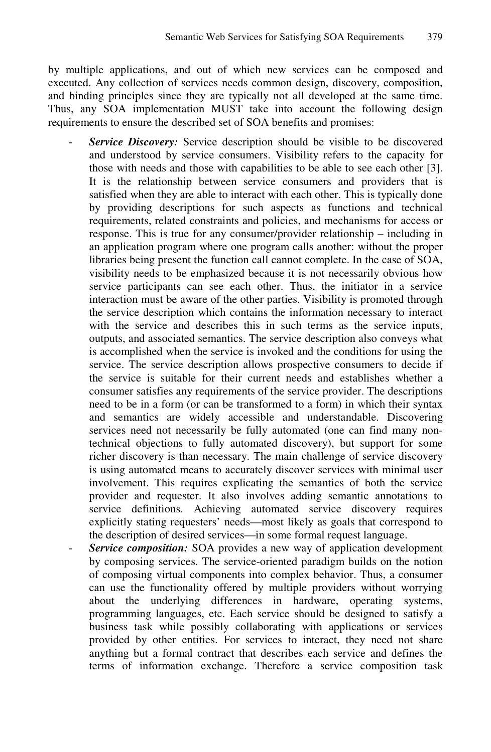by multiple applications, and out of which new services can be composed and executed. Any collection of services needs common design, discovery, composition, and binding principles since they are typically not all developed at the same time. Thus, any SOA implementation MUST take into account the following design requirements to ensure the described set of SOA benefits and promises:

- **Service Discovery:** Service description should be visible to be discovered and understood by service consumers. Visibility refers to the capacity for those with needs and those with capabilities to be able to see each other [3]. It is the relationship between service consumers and providers that is satisfied when they are able to interact with each other. This is typically done by providing descriptions for such aspects as functions and technical requirements, related constraints and policies, and mechanisms for access or response. This is true for any consumer/provider relationship – including in an application program where one program calls another: without the proper libraries being present the function call cannot complete. In the case of SOA, visibility needs to be emphasized because it is not necessarily obvious how service participants can see each other. Thus, the initiator in a service interaction must be aware of the other parties. Visibility is promoted through the service description which contains the information necessary to interact with the service and describes this in such terms as the service inputs, outputs, and associated semantics. The service description also conveys what is accomplished when the service is invoked and the conditions for using the service. The service description allows prospective consumers to decide if the service is suitable for their current needs and establishes whether a consumer satisfies any requirements of the service provider. The descriptions need to be in a form (or can be transformed to a form) in which their syntax and semantics are widely accessible and understandable. Discovering services need not necessarily be fully automated (one can find many nontechnical objections to fully automated discovery), but support for some richer discovery is than necessary. The main challenge of service discovery is using automated means to accurately discover services with minimal user involvement. This requires explicating the semantics of both the service provider and requester. It also involves adding semantic annotations to service definitions. Achieving automated service discovery requires explicitly stating requesters' needs—most likely as goals that correspond to the description of desired services—in some formal request language.
- Service composition: SOA provides a new way of application development by composing services. The service-oriented paradigm builds on the notion of composing virtual components into complex behavior. Thus, a consumer can use the functionality offered by multiple providers without worrying about the underlying differences in hardware, operating systems, programming languages, etc. Each service should be designed to satisfy a business task while possibly collaborating with applications or services provided by other entities. For services to interact, they need not share anything but a formal contract that describes each service and defines the terms of information exchange. Therefore a service composition task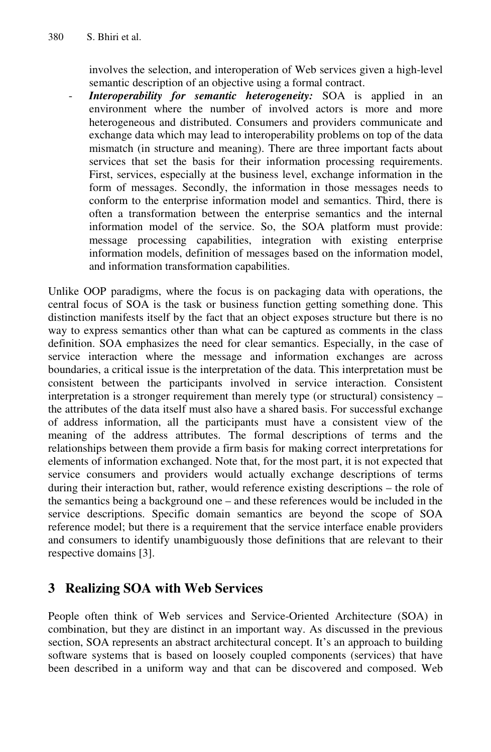involves the selection, and interoperation of Web services given a high-level semantic description of an objective using a formal contract.

*Interoperability for semantic heterogeneity:* SOA is applied in an environment where the number of involved actors is more and more heterogeneous and distributed. Consumers and providers communicate and exchange data which may lead to interoperability problems on top of the data mismatch (in structure and meaning). There are three important facts about services that set the basis for their information processing requirements. First, services, especially at the business level, exchange information in the form of messages. Secondly, the information in those messages needs to conform to the enterprise information model and semantics. Third, there is often a transformation between the enterprise semantics and the internal information model of the service. So, the SOA platform must provide: message processing capabilities, integration with existing enterprise information models, definition of messages based on the information model, and information transformation capabilities.

Unlike OOP paradigms, where the focus is on packaging data with operations, the central focus of SOA is the task or business function getting something done. This distinction manifests itself by the fact that an object exposes structure but there is no way to express semantics other than what can be captured as comments in the class definition. SOA emphasizes the need for clear semantics. Especially, in the case of service interaction where the message and information exchanges are across boundaries, a critical issue is the interpretation of the data. This interpretation must be consistent between the participants involved in service interaction. Consistent interpretation is a stronger requirement than merely type (or structural) consistency – the attributes of the data itself must also have a shared basis. For successful exchange of address information, all the participants must have a consistent view of the meaning of the address attributes. The formal descriptions of terms and the relationships between them provide a firm basis for making correct interpretations for elements of information exchanged. Note that, for the most part, it is not expected that service consumers and providers would actually exchange descriptions of terms during their interaction but, rather, would reference existing descriptions – the role of the semantics being a background one – and these references would be included in the service descriptions. Specific domain semantics are beyond the scope of SOA reference model; but there is a requirement that the service interface enable providers and consumers to identify unambiguously those definitions that are relevant to their respective domains [3].

# **3 Realizing SOA with Web Services**

People often think of Web services and Service-Oriented Architecture (SOA) in combination, but they are distinct in an important way. As discussed in the previous section, SOA represents an abstract architectural concept. It's an approach to building software systems that is based on loosely coupled components (services) that have been described in a uniform way and that can be discovered and composed. Web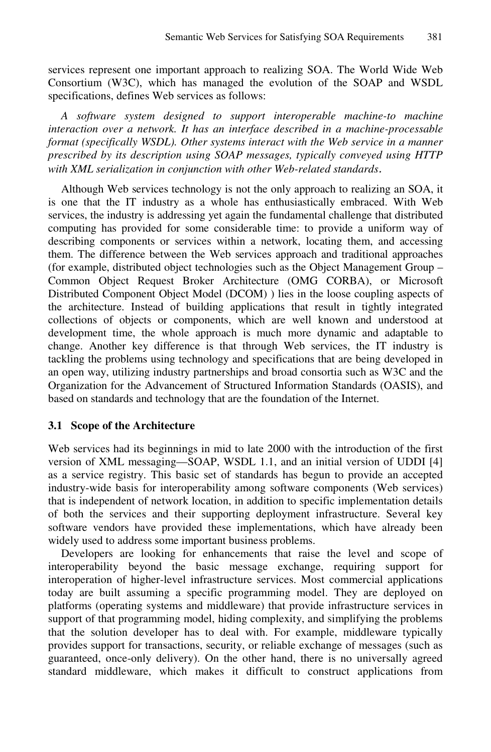services represent one important approach to realizing SOA. The World Wide Web Consortium (W3C), which has managed the evolution of the SOAP and WSDL specifications, defines Web services as follows:

*A software system designed to support interoperable machine-to machine interaction over a network. It has an interface described in a machine-processable format (specifically WSDL). Other systems interact with the Web service in a manner prescribed by its description using SOAP messages, typically conveyed using HTTP with XML serialization in conjunction with other Web-related standards*.

Although Web services technology is not the only approach to realizing an SOA, it is one that the IT industry as a whole has enthusiastically embraced. With Web services, the industry is addressing yet again the fundamental challenge that distributed computing has provided for some considerable time: to provide a uniform way of describing components or services within a network, locating them, and accessing them. The difference between the Web services approach and traditional approaches (for example, distributed object technologies such as the Object Management Group – Common Object Request Broker Architecture (OMG CORBA), or Microsoft Distributed Component Object Model (DCOM) ) lies in the loose coupling aspects of the architecture. Instead of building applications that result in tightly integrated collections of objects or components, which are well known and understood at development time, the whole approach is much more dynamic and adaptable to change. Another key difference is that through Web services, the IT industry is tackling the problems using technology and specifications that are being developed in an open way, utilizing industry partnerships and broad consortia such as W3C and the Organization for the Advancement of Structured Information Standards (OASIS), and based on standards and technology that are the foundation of the Internet.

#### **3.1 Scope of the Architecture**

Web services had its beginnings in mid to late 2000 with the introduction of the first version of XML messaging—SOAP, WSDL 1.1, and an initial version of UDDI [4] as a service registry. This basic set of standards has begun to provide an accepted industry-wide basis for interoperability among software components (Web services) that is independent of network location, in addition to specific implementation details of both the services and their supporting deployment infrastructure. Several key software vendors have provided these implementations, which have already been widely used to address some important business problems.

Developers are looking for enhancements that raise the level and scope of interoperability beyond the basic message exchange, requiring support for interoperation of higher-level infrastructure services. Most commercial applications today are built assuming a specific programming model. They are deployed on platforms (operating systems and middleware) that provide infrastructure services in support of that programming model, hiding complexity, and simplifying the problems that the solution developer has to deal with. For example, middleware typically provides support for transactions, security, or reliable exchange of messages (such as guaranteed, once-only delivery). On the other hand, there is no universally agreed standard middleware, which makes it difficult to construct applications from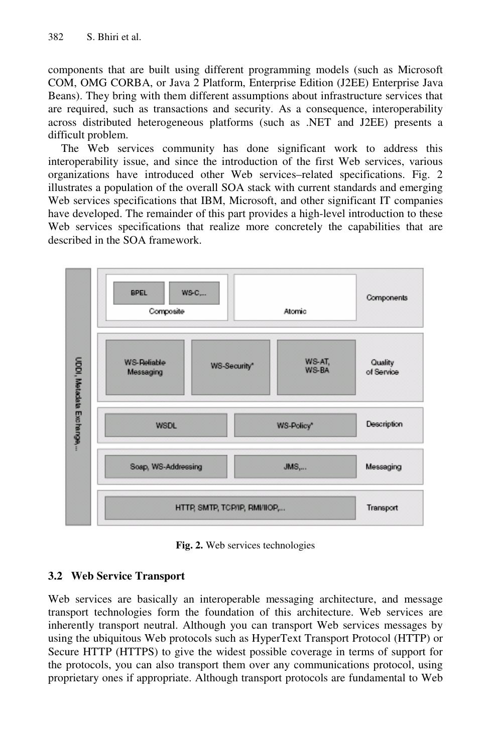components that are built using different programming models (such as Microsoft COM, OMG CORBA, or Java 2 Platform, Enterprise Edition (J2EE) Enterprise Java Beans). They bring with them different assumptions about infrastructure services that are required, such as transactions and security. As a consequence, interoperability across distributed heterogeneous platforms (such as .NET and J2EE) presents a difficult problem.

The Web services community has done significant work to address this interoperability issue, and since the introduction of the first Web services, various organizations have introduced other Web services–related specifications. Fig. 2 illustrates a population of the overall SOA stack with current standards and emerging Web services specifications that IBM, Microsoft, and other significant IT companies have developed. The remainder of this part provides a high-level introduction to these Web services specifications that realize more concretely the capabilities that are described in the SOA framework.



**Fig. 2.** Web services technologies

### **3.2 Web Service Transport**

Web services are basically an interoperable messaging architecture, and message transport technologies form the foundation of this architecture. Web services are inherently transport neutral. Although you can transport Web services messages by using the ubiquitous Web protocols such as HyperText Transport Protocol (HTTP) or Secure HTTP (HTTPS) to give the widest possible coverage in terms of support for the protocols, you can also transport them over any communications protocol, using proprietary ones if appropriate. Although transport protocols are fundamental to Web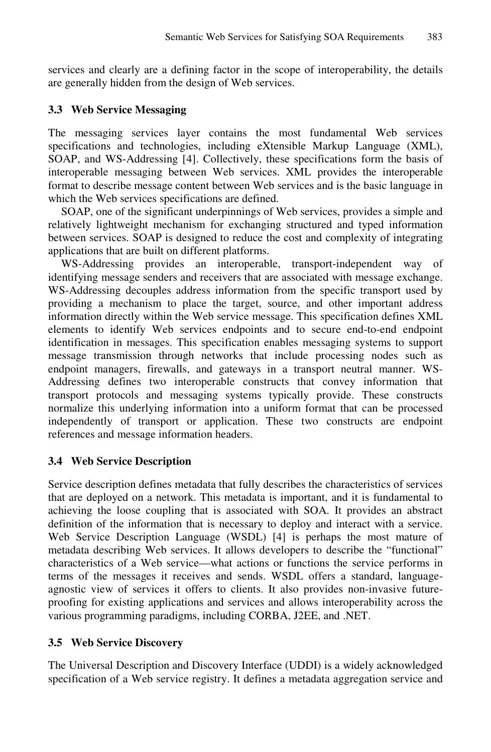services and clearly are a defining factor in the scope of interoperability, the details are generally hidden from the design of Web services.

## **3.3 Web Service Messaging**

The messaging services layer contains the most fundamental Web services specifications and technologies, including eXtensible Markup Language (XML), SOAP, and WS-Addressing [4]. Collectively, these specifications form the basis of interoperable messaging between Web services. XML provides the interoperable format to describe message content between Web services and is the basic language in which the Web services specifications are defined.

SOAP, one of the significant underpinnings of Web services, provides a simple and relatively lightweight mechanism for exchanging structured and typed information between services. SOAP is designed to reduce the cost and complexity of integrating applications that are built on different platforms.

WS-Addressing provides an interoperable, transport-independent way of identifying message senders and receivers that are associated with message exchange. WS-Addressing decouples address information from the specific transport used by providing a mechanism to place the target, source, and other important address information directly within the Web service message. This specification defines XML elements to identify Web services endpoints and to secure end-to-end endpoint identification in messages. This specification enables messaging systems to support message transmission through networks that include processing nodes such as endpoint managers, firewalls, and gateways in a transport neutral manner. WS-Addressing defines two interoperable constructs that convey information that transport protocols and messaging systems typically provide. These constructs normalize this underlying information into a uniform format that can be processed independently of transport or application. These two constructs are endpoint references and message information headers.

### **3.4 Web Service Description**

Service description defines metadata that fully describes the characteristics of services that are deployed on a network. This metadata is important, and it is fundamental to achieving the loose coupling that is associated with SOA. It provides an abstract definition of the information that is necessary to deploy and interact with a service. Web Service Description Language (WSDL) [4] is perhaps the most mature of metadata describing Web services. It allows developers to describe the "functional" characteristics of a Web service—what actions or functions the service performs in terms of the messages it receives and sends. WSDL offers a standard, languageagnostic view of services it offers to clients. It also provides non-invasive futureproofing for existing applications and services and allows interoperability across the various programming paradigms, including CORBA, J2EE, and .NET.

### **3.5 Web Service Discovery**

The Universal Description and Discovery Interface (UDDI) is a widely acknowledged specification of a Web service registry. It defines a metadata aggregation service and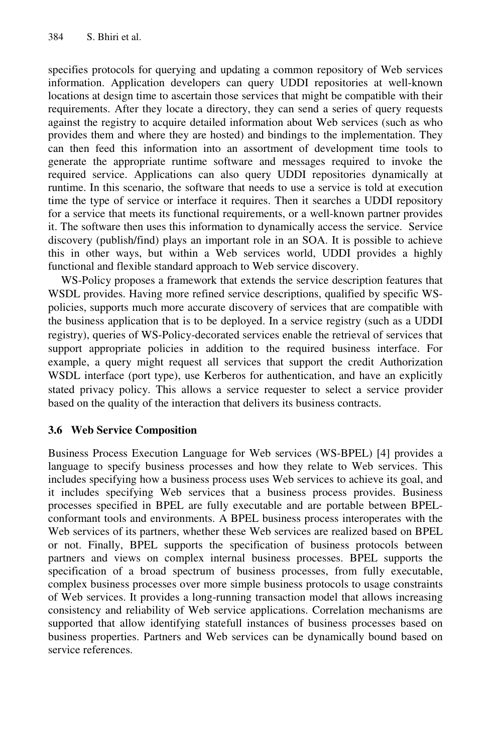specifies protocols for querying and updating a common repository of Web services information. Application developers can query UDDI repositories at well-known locations at design time to ascertain those services that might be compatible with their requirements. After they locate a directory, they can send a series of query requests against the registry to acquire detailed information about Web services (such as who provides them and where they are hosted) and bindings to the implementation. They can then feed this information into an assortment of development time tools to generate the appropriate runtime software and messages required to invoke the required service. Applications can also query UDDI repositories dynamically at runtime. In this scenario, the software that needs to use a service is told at execution time the type of service or interface it requires. Then it searches a UDDI repository for a service that meets its functional requirements, or a well-known partner provides it. The software then uses this information to dynamically access the service. Service discovery (publish/find) plays an important role in an SOA. It is possible to achieve this in other ways, but within a Web services world, UDDI provides a highly functional and flexible standard approach to Web service discovery.

WS-Policy proposes a framework that extends the service description features that WSDL provides. Having more refined service descriptions, qualified by specific WSpolicies, supports much more accurate discovery of services that are compatible with the business application that is to be deployed. In a service registry (such as a UDDI registry), queries of WS-Policy-decorated services enable the retrieval of services that support appropriate policies in addition to the required business interface. For example, a query might request all services that support the credit Authorization WSDL interface (port type), use Kerberos for authentication, and have an explicitly stated privacy policy. This allows a service requester to select a service provider based on the quality of the interaction that delivers its business contracts.

### **3.6 Web Service Composition**

Business Process Execution Language for Web services (WS-BPEL) [4] provides a language to specify business processes and how they relate to Web services. This includes specifying how a business process uses Web services to achieve its goal, and it includes specifying Web services that a business process provides. Business processes specified in BPEL are fully executable and are portable between BPELconformant tools and environments. A BPEL business process interoperates with the Web services of its partners, whether these Web services are realized based on BPEL or not. Finally, BPEL supports the specification of business protocols between partners and views on complex internal business processes. BPEL supports the specification of a broad spectrum of business processes, from fully executable, complex business processes over more simple business protocols to usage constraints of Web services. It provides a long-running transaction model that allows increasing consistency and reliability of Web service applications. Correlation mechanisms are supported that allow identifying statefull instances of business processes based on business properties. Partners and Web services can be dynamically bound based on service references.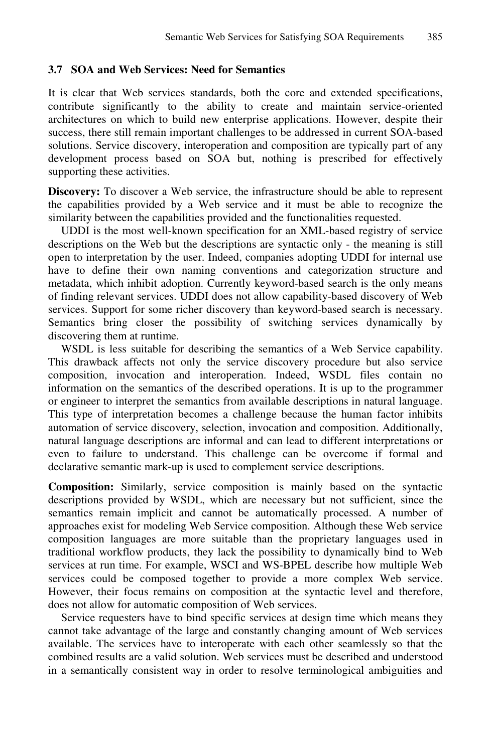#### **3.7 SOA and Web Services: Need for Semantics**

It is clear that Web services standards, both the core and extended specifications, contribute significantly to the ability to create and maintain service-oriented architectures on which to build new enterprise applications. However, despite their success, there still remain important challenges to be addressed in current SOA-based solutions. Service discovery, interoperation and composition are typically part of any development process based on SOA but, nothing is prescribed for effectively supporting these activities.

**Discovery:** To discover a Web service, the infrastructure should be able to represent the capabilities provided by a Web service and it must be able to recognize the similarity between the capabilities provided and the functionalities requested.

UDDI is the most well-known specification for an XML-based registry of service descriptions on the Web but the descriptions are syntactic only - the meaning is still open to interpretation by the user. Indeed, companies adopting UDDI for internal use have to define their own naming conventions and categorization structure and metadata, which inhibit adoption. Currently keyword-based search is the only means of finding relevant services. UDDI does not allow capability-based discovery of Web services. Support for some richer discovery than keyword-based search is necessary. Semantics bring closer the possibility of switching services dynamically by discovering them at runtime.

WSDL is less suitable for describing the semantics of a Web Service capability. This drawback affects not only the service discovery procedure but also service composition, invocation and interoperation. Indeed, WSDL files contain no information on the semantics of the described operations. It is up to the programmer or engineer to interpret the semantics from available descriptions in natural language. This type of interpretation becomes a challenge because the human factor inhibits automation of service discovery, selection, invocation and composition. Additionally, natural language descriptions are informal and can lead to different interpretations or even to failure to understand. This challenge can be overcome if formal and declarative semantic mark-up is used to complement service descriptions.

**Composition:** Similarly, service composition is mainly based on the syntactic descriptions provided by WSDL, which are necessary but not sufficient, since the semantics remain implicit and cannot be automatically processed. A number of approaches exist for modeling Web Service composition. Although these Web service composition languages are more suitable than the proprietary languages used in traditional workflow products, they lack the possibility to dynamically bind to Web services at run time. For example, WSCI and WS-BPEL describe how multiple Web services could be composed together to provide a more complex Web service. However, their focus remains on composition at the syntactic level and therefore, does not allow for automatic composition of Web services.

Service requesters have to bind specific services at design time which means they cannot take advantage of the large and constantly changing amount of Web services available. The services have to interoperate with each other seamlessly so that the combined results are a valid solution. Web services must be described and understood in a semantically consistent way in order to resolve terminological ambiguities and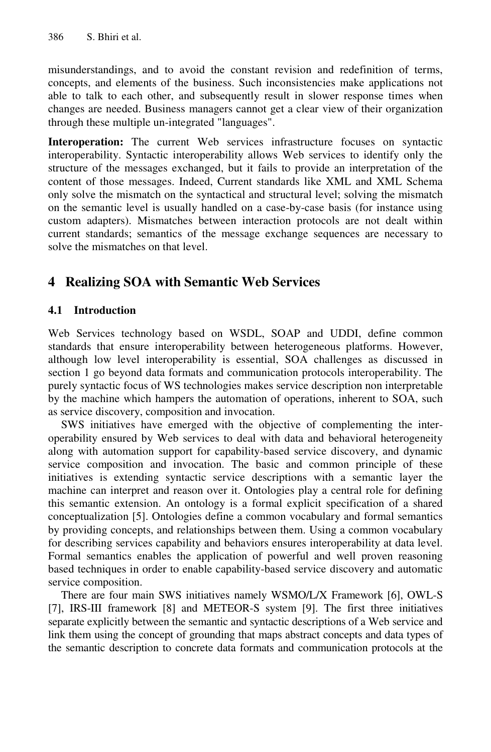misunderstandings, and to avoid the constant revision and redefinition of terms, concepts, and elements of the business. Such inconsistencies make applications not able to talk to each other, and subsequently result in slower response times when changes are needed. Business managers cannot get a clear view of their organization through these multiple un-integrated "languages".

**Interoperation:** The current Web services infrastructure focuses on syntactic interoperability. Syntactic interoperability allows Web services to identify only the structure of the messages exchanged, but it fails to provide an interpretation of the content of those messages. Indeed, Current standards like XML and XML Schema only solve the mismatch on the syntactical and structural level; solving the mismatch on the semantic level is usually handled on a case-by-case basis (for instance using custom adapters). Mismatches between interaction protocols are not dealt within current standards; semantics of the message exchange sequences are necessary to solve the mismatches on that level.

# **4 Realizing SOA with Semantic Web Services**

## **4.1 Introduction**

Web Services technology based on WSDL, SOAP and UDDI, define common standards that ensure interoperability between heterogeneous platforms. However, although low level interoperability is essential, SOA challenges as discussed in section 1 go beyond data formats and communication protocols interoperability. The purely syntactic focus of WS technologies makes service description non interpretable by the machine which hampers the automation of operations, inherent to SOA, such as service discovery, composition and invocation.

SWS initiatives have emerged with the objective of complementing the interoperability ensured by Web services to deal with data and behavioral heterogeneity along with automation support for capability-based service discovery, and dynamic service composition and invocation. The basic and common principle of these initiatives is extending syntactic service descriptions with a semantic layer the machine can interpret and reason over it. Ontologies play a central role for defining this semantic extension. An ontology is a formal explicit specification of a shared conceptualization [5]. Ontologies define a common vocabulary and formal semantics by providing concepts, and relationships between them. Using a common vocabulary for describing services capability and behaviors ensures interoperability at data level. Formal semantics enables the application of powerful and well proven reasoning based techniques in order to enable capability-based service discovery and automatic service composition.

There are four main SWS initiatives namely WSMO/L/X Framework [6], OWL-S [7], IRS-III framework [8] and METEOR-S system [9]. The first three initiatives separate explicitly between the semantic and syntactic descriptions of a Web service and link them using the concept of grounding that maps abstract concepts and data types of the semantic description to concrete data formats and communication protocols at the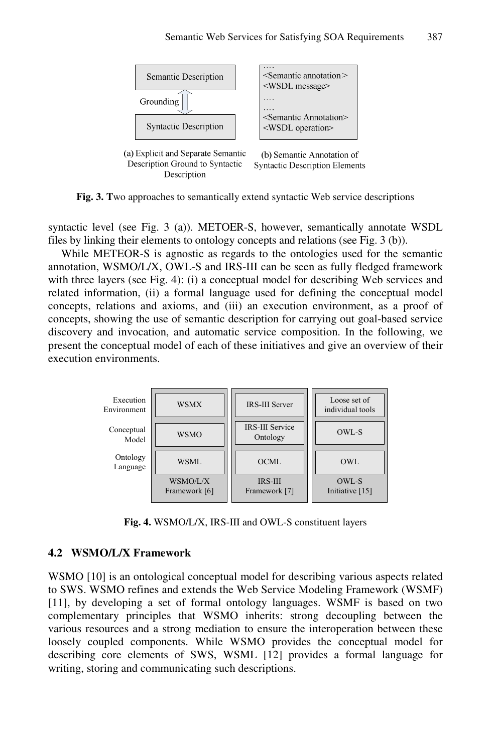

**Fig. 3. T**wo approaches to semantically extend syntactic Web service descriptions

syntactic level (see Fig. 3 (a)). METOER-S, however, semantically annotate WSDL files by linking their elements to ontology concepts and relations (see Fig. 3 (b)).

While METEOR-S is agnostic as regards to the ontologies used for the semantic annotation, WSMO/L/X, OWL-S and IRS-III can be seen as fully fledged framework with three layers (see Fig. 4): (i) a conceptual model for describing Web services and related information, (ii) a formal language used for defining the conceptual model concepts, relations and axioms, and (iii) an execution environment, as a proof of concepts, showing the use of semantic description for carrying out goal-based service discovery and invocation, and automatic service composition. In the following, we present the conceptual model of each of these initiatives and give an overview of their execution environments.



**Fig. 4.** WSMO/L/X, IRS-III and OWL-S constituent layers

#### **4.2 WSMO/L/X Framework**

WSMO [10] is an ontological conceptual model for describing various aspects related to SWS. WSMO refines and extends the Web Service Modeling Framework (WSMF) [11], by developing a set of formal ontology languages. WSMF is based on two complementary principles that WSMO inherits: strong decoupling between the various resources and a strong mediation to ensure the interoperation between these loosely coupled components. While WSMO provides the conceptual model for describing core elements of SWS, WSML [12] provides a formal language for writing, storing and communicating such descriptions.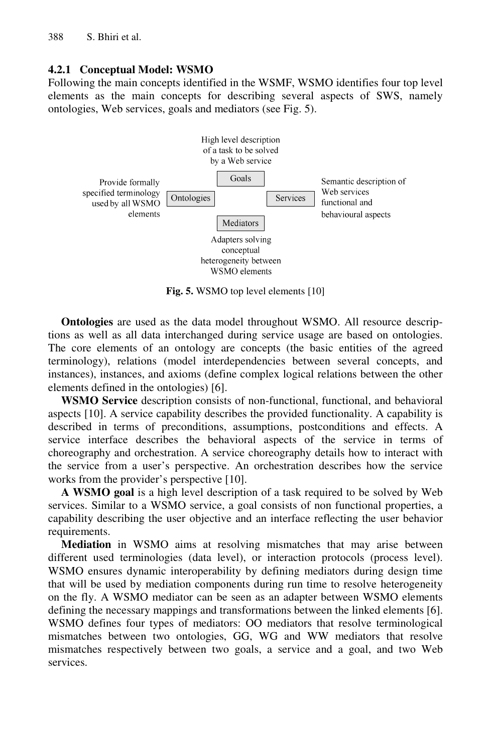#### **4.2.1 Conceptual Model: WSMO**

Following the main concepts identified in the WSMF, WSMO identifies four top level elements as the main concepts for describing several aspects of SWS, namely ontologies, Web services, goals and mediators (see Fig. 5).



**Fig. 5.** WSMO top level elements [10]

**Ontologies** are used as the data model throughout WSMO. All resource descriptions as well as all data interchanged during service usage are based on ontologies. The core elements of an ontology are concepts (the basic entities of the agreed terminology), relations (model interdependencies between several concepts, and instances), instances, and axioms (define complex logical relations between the other elements defined in the ontologies) [6].

**WSMO Service** description consists of non-functional, functional, and behavioral aspects [10]. A service capability describes the provided functionality. A capability is described in terms of preconditions, assumptions, postconditions and effects. A service interface describes the behavioral aspects of the service in terms of choreography and orchestration. A service choreography details how to interact with the service from a user's perspective. An orchestration describes how the service works from the provider's perspective [10].

**A WSMO goal** is a high level description of a task required to be solved by Web services. Similar to a WSMO service, a goal consists of non functional properties, a capability describing the user objective and an interface reflecting the user behavior requirements.

**Mediation** in WSMO aims at resolving mismatches that may arise between different used terminologies (data level), or interaction protocols (process level). WSMO ensures dynamic interoperability by defining mediators during design time that will be used by mediation components during run time to resolve heterogeneity on the fly. A WSMO mediator can be seen as an adapter between WSMO elements defining the necessary mappings and transformations between the linked elements [6]. WSMO defines four types of mediators: OO mediators that resolve terminological mismatches between two ontologies, GG, WG and WW mediators that resolve mismatches respectively between two goals, a service and a goal, and two Web services.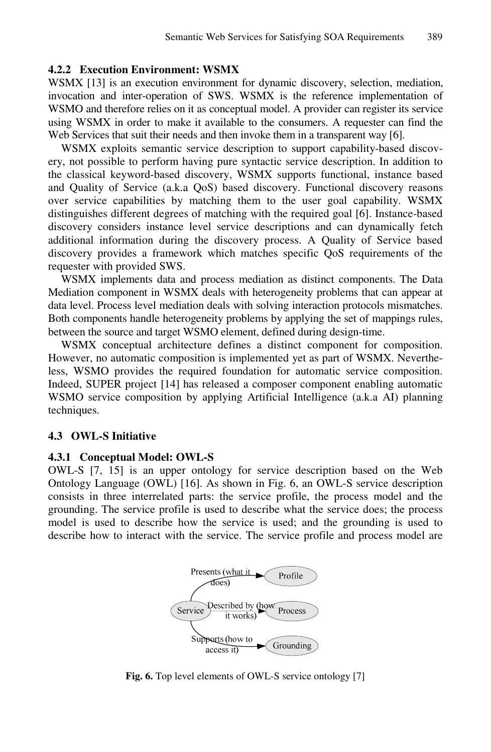#### **4.2.2 Execution Environment: WSMX**

WSMX [13] is an execution environment for dynamic discovery, selection, mediation, invocation and inter-operation of SWS. WSMX is the reference implementation of WSMO and therefore relies on it as conceptual model. A provider can register its service using WSMX in order to make it available to the consumers. A requester can find the Web Services that suit their needs and then invoke them in a transparent way [6].

WSMX exploits semantic service description to support capability-based discovery, not possible to perform having pure syntactic service description. In addition to the classical keyword-based discovery, WSMX supports functional, instance based and Quality of Service (a.k.a QoS) based discovery. Functional discovery reasons over service capabilities by matching them to the user goal capability. WSMX distinguishes different degrees of matching with the required goal [6]. Instance-based discovery considers instance level service descriptions and can dynamically fetch additional information during the discovery process. A Quality of Service based discovery provides a framework which matches specific QoS requirements of the requester with provided SWS.

WSMX implements data and process mediation as distinct components. The Data Mediation component in WSMX deals with heterogeneity problems that can appear at data level. Process level mediation deals with solving interaction protocols mismatches. Both components handle heterogeneity problems by applying the set of mappings rules, between the source and target WSMO element, defined during design-time.

WSMX conceptual architecture defines a distinct component for composition. However, no automatic composition is implemented yet as part of WSMX. Nevertheless, WSMO provides the required foundation for automatic service composition. Indeed, SUPER project [14] has released a composer component enabling automatic WSMO service composition by applying Artificial Intelligence (a.k.a AI) planning techniques.

#### **4.3 OWL-S Initiative**

#### **4.3.1 Conceptual Model: OWL-S**

OWL-S [7, 15] is an upper ontology for service description based on the Web Ontology Language (OWL) [16]. As shown in Fig. 6, an OWL-S service description consists in three interrelated parts: the service profile, the process model and the grounding. The service profile is used to describe what the service does; the process model is used to describe how the service is used; and the grounding is used to describe how to interact with the service. The service profile and process model are



**Fig. 6.** Top level elements of OWL-S service ontology [7]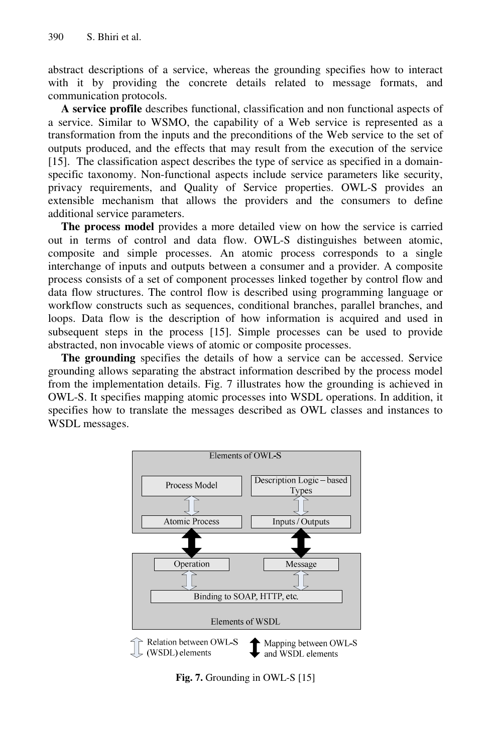abstract descriptions of a service, whereas the grounding specifies how to interact with it by providing the concrete details related to message formats, and communication protocols.

**A service profile** describes functional, classification and non functional aspects of a service. Similar to WSMO, the capability of a Web service is represented as a transformation from the inputs and the preconditions of the Web service to the set of outputs produced, and the effects that may result from the execution of the service [15]. The classification aspect describes the type of service as specified in a domainspecific taxonomy. Non-functional aspects include service parameters like security, privacy requirements, and Quality of Service properties. OWL-S provides an extensible mechanism that allows the providers and the consumers to define additional service parameters.

**The process model** provides a more detailed view on how the service is carried out in terms of control and data flow. OWL-S distinguishes between atomic, composite and simple processes. An atomic process corresponds to a single interchange of inputs and outputs between a consumer and a provider. A composite process consists of a set of component processes linked together by control flow and data flow structures. The control flow is described using programming language or workflow constructs such as sequences, conditional branches, parallel branches, and loops. Data flow is the description of how information is acquired and used in subsequent steps in the process [15]. Simple processes can be used to provide abstracted, non invocable views of atomic or composite processes.

**The grounding** specifies the details of how a service can be accessed. Service grounding allows separating the abstract information described by the process model from the implementation details. Fig. 7 illustrates how the grounding is achieved in OWL-S. It specifies mapping atomic processes into WSDL operations. In addition, it specifies how to translate the messages described as OWL classes and instances to WSDL messages.



**Fig. 7.** Grounding in OWL-S [15]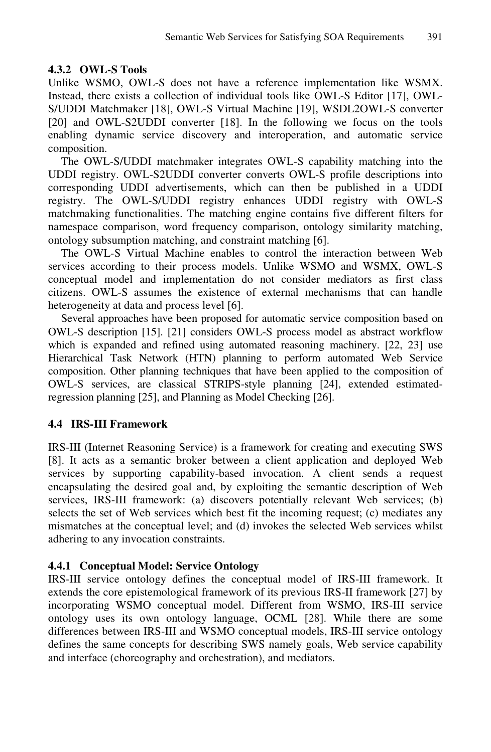#### **4.3.2 OWL-S Tools**

Unlike WSMO, OWL-S does not have a reference implementation like WSMX. Instead, there exists a collection of individual tools like OWL-S Editor [17], OWL-S/UDDI Matchmaker [18], OWL-S Virtual Machine [19], WSDL2OWL-S converter [20] and OWL-S2UDDI converter [18]. In the following we focus on the tools enabling dynamic service discovery and interoperation, and automatic service composition.

The OWL-S/UDDI matchmaker integrates OWL-S capability matching into the UDDI registry. OWL-S2UDDI converter converts OWL-S profile descriptions into corresponding UDDI advertisements, which can then be published in a UDDI registry. The OWL-S/UDDI registry enhances UDDI registry with OWL-S matchmaking functionalities. The matching engine contains five different filters for namespace comparison, word frequency comparison, ontology similarity matching, ontology subsumption matching, and constraint matching [6].

The OWL-S Virtual Machine enables to control the interaction between Web services according to their process models. Unlike WSMO and WSMX, OWL-S conceptual model and implementation do not consider mediators as first class citizens. OWL-S assumes the existence of external mechanisms that can handle heterogeneity at data and process level [6].

Several approaches have been proposed for automatic service composition based on OWL-S description [15]. [21] considers OWL-S process model as abstract workflow which is expanded and refined using automated reasoning machinery. [22, 23] use Hierarchical Task Network (HTN) planning to perform automated Web Service composition. Other planning techniques that have been applied to the composition of OWL-S services, are classical STRIPS-style planning [24], extended estimatedregression planning [25], and Planning as Model Checking [26].

### **4.4 IRS-III Framework**

IRS-III (Internet Reasoning Service) is a framework for creating and executing SWS [8]. It acts as a semantic broker between a client application and deployed Web services by supporting capability-based invocation. A client sends a request encapsulating the desired goal and, by exploiting the semantic description of Web services, IRS-III framework: (a) discovers potentially relevant Web services; (b) selects the set of Web services which best fit the incoming request; (c) mediates any mismatches at the conceptual level; and (d) invokes the selected Web services whilst adhering to any invocation constraints.

### **4.4.1 Conceptual Model: Service Ontology**

IRS-III service ontology defines the conceptual model of IRS-III framework. It extends the core epistemological framework of its previous IRS-II framework [27] by incorporating WSMO conceptual model. Different from WSMO, IRS-III service ontology uses its own ontology language, OCML [28]. While there are some differences between IRS-III and WSMO conceptual models, IRS-III service ontology defines the same concepts for describing SWS namely goals, Web service capability and interface (choreography and orchestration), and mediators.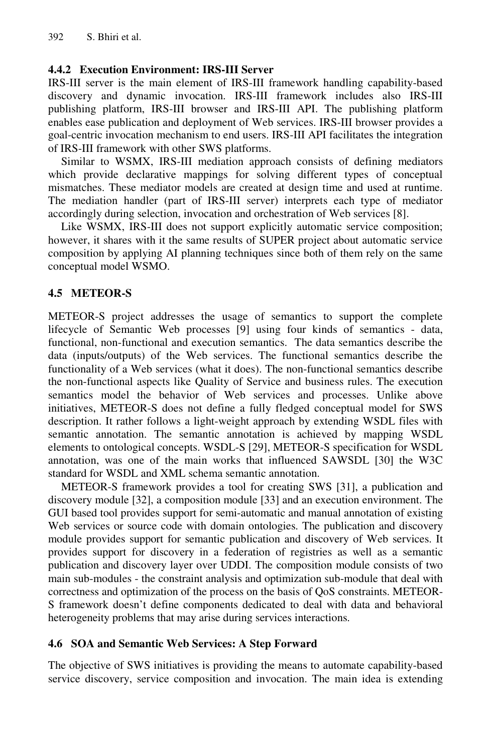#### **4.4.2 Execution Environment: IRS-III Server**

IRS-III server is the main element of IRS-III framework handling capability-based discovery and dynamic invocation. IRS-III framework includes also IRS-III publishing platform, IRS-III browser and IRS-III API. The publishing platform enables ease publication and deployment of Web services. IRS-III browser provides a goal-centric invocation mechanism to end users. IRS-III API facilitates the integration of IRS-III framework with other SWS platforms.

Similar to WSMX, IRS-III mediation approach consists of defining mediators which provide declarative mappings for solving different types of conceptual mismatches. These mediator models are created at design time and used at runtime. The mediation handler (part of IRS-III server) interprets each type of mediator accordingly during selection, invocation and orchestration of Web services [8].

Like WSMX, IRS-III does not support explicitly automatic service composition; however, it shares with it the same results of SUPER project about automatic service composition by applying AI planning techniques since both of them rely on the same conceptual model WSMO.

### **4.5 METEOR-S**

METEOR-S project addresses the usage of semantics to support the complete lifecycle of Semantic Web processes [9] using four kinds of semantics - data, functional, non-functional and execution semantics. The data semantics describe the data (inputs/outputs) of the Web services. The functional semantics describe the functionality of a Web services (what it does). The non-functional semantics describe the non-functional aspects like Quality of Service and business rules. The execution semantics model the behavior of Web services and processes. Unlike above initiatives, METEOR-S does not define a fully fledged conceptual model for SWS description. It rather follows a light-weight approach by extending WSDL files with semantic annotation. The semantic annotation is achieved by mapping WSDL elements to ontological concepts. WSDL-S [29], METEOR-S specification for WSDL annotation, was one of the main works that influenced SAWSDL [30] the W3C standard for WSDL and XML schema semantic annotation.

METEOR-S framework provides a tool for creating SWS [31], a publication and discovery module [32], a composition module [33] and an execution environment. The GUI based tool provides support for semi-automatic and manual annotation of existing Web services or source code with domain ontologies. The publication and discovery module provides support for semantic publication and discovery of Web services. It provides support for discovery in a federation of registries as well as a semantic publication and discovery layer over UDDI. The composition module consists of two main sub-modules - the constraint analysis and optimization sub-module that deal with correctness and optimization of the process on the basis of QoS constraints. METEOR-S framework doesn't define components dedicated to deal with data and behavioral heterogeneity problems that may arise during services interactions.

### **4.6 SOA and Semantic Web Services: A Step Forward**

The objective of SWS initiatives is providing the means to automate capability-based service discovery, service composition and invocation. The main idea is extending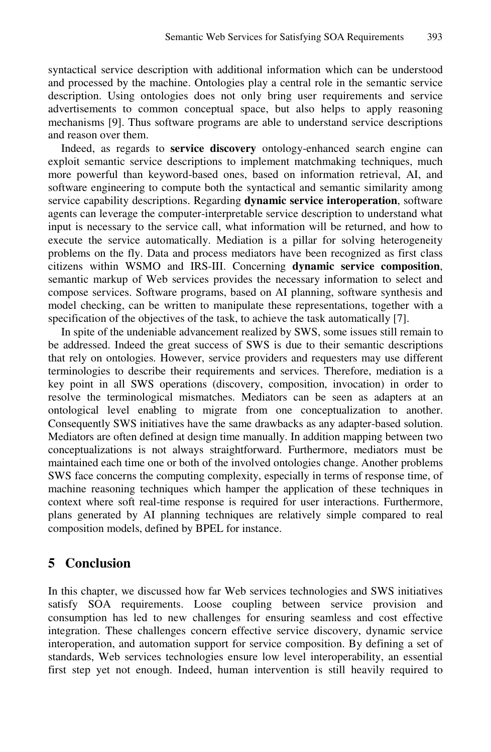syntactical service description with additional information which can be understood and processed by the machine. Ontologies play a central role in the semantic service description. Using ontologies does not only bring user requirements and service advertisements to common conceptual space, but also helps to apply reasoning mechanisms [9]. Thus software programs are able to understand service descriptions and reason over them.

Indeed, as regards to **service discovery** ontology-enhanced search engine can exploit semantic service descriptions to implement matchmaking techniques, much more powerful than keyword-based ones, based on information retrieval, AI, and software engineering to compute both the syntactical and semantic similarity among service capability descriptions. Regarding **dynamic service interoperation**, software agents can leverage the computer-interpretable service description to understand what input is necessary to the service call, what information will be returned, and how to execute the service automatically. Mediation is a pillar for solving heterogeneity problems on the fly. Data and process mediators have been recognized as first class citizens within WSMO and IRS-III. Concerning **dynamic service composition**, semantic markup of Web services provides the necessary information to select and compose services. Software programs, based on AI planning, software synthesis and model checking, can be written to manipulate these representations, together with a specification of the objectives of the task, to achieve the task automatically [7].

In spite of the undeniable advancement realized by SWS, some issues still remain to be addressed. Indeed the great success of SWS is due to their semantic descriptions that rely on ontologies. However, service providers and requesters may use different terminologies to describe their requirements and services. Therefore, mediation is a key point in all SWS operations (discovery, composition, invocation) in order to resolve the terminological mismatches. Mediators can be seen as adapters at an ontological level enabling to migrate from one conceptualization to another. Consequently SWS initiatives have the same drawbacks as any adapter-based solution. Mediators are often defined at design time manually. In addition mapping between two conceptualizations is not always straightforward. Furthermore, mediators must be maintained each time one or both of the involved ontologies change. Another problems SWS face concerns the computing complexity, especially in terms of response time, of machine reasoning techniques which hamper the application of these techniques in context where soft real-time response is required for user interactions. Furthermore, plans generated by AI planning techniques are relatively simple compared to real composition models, defined by BPEL for instance.

## **5 Conclusion**

In this chapter, we discussed how far Web services technologies and SWS initiatives satisfy SOA requirements. Loose coupling between service provision and consumption has led to new challenges for ensuring seamless and cost effective integration. These challenges concern effective service discovery, dynamic service interoperation, and automation support for service composition. By defining a set of standards, Web services technologies ensure low level interoperability, an essential first step yet not enough. Indeed, human intervention is still heavily required to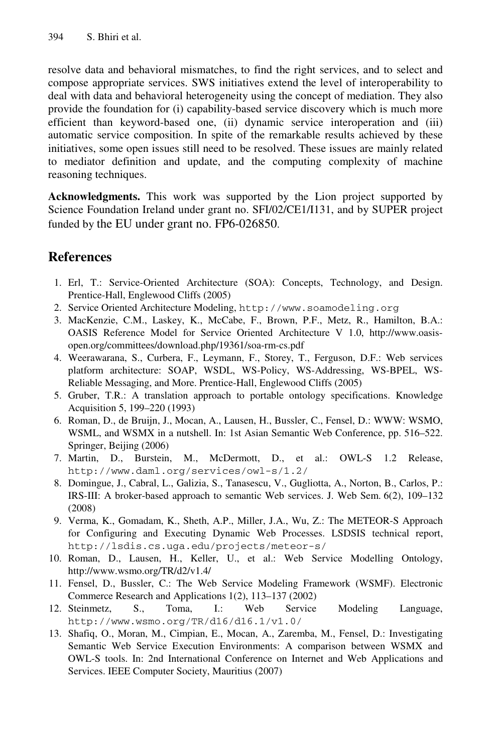resolve data and behavioral mismatches, to find the right services, and to select and compose appropriate services. SWS initiatives extend the level of interoperability to deal with data and behavioral heterogeneity using the concept of mediation. They also provide the foundation for (i) capability-based service discovery which is much more efficient than keyword-based one, (ii) dynamic service interoperation and (iii) automatic service composition. In spite of the remarkable results achieved by these initiatives, some open issues still need to be resolved. These issues are mainly related to mediator definition and update, and the computing complexity of machine reasoning techniques.

**Acknowledgments.** This work was supported by the Lion project supported by Science Foundation Ireland under grant no. SFI/02/CE1/I131, and by SUPER project funded by the EU under grant no. FP6-026850.

# **References**

- 1. Erl, T.: Service-Oriented Architecture (SOA): Concepts, Technology, and Design. Prentice-Hall, Englewood Cliffs (2005)
- 2. Service Oriented Architecture Modeling, http://www.soamodeling.org
- 3. MacKenzie, C.M., Laskey, K., McCabe, F., Brown, P.F., Metz, R., Hamilton, B.A.: OASIS Reference Model for Service Oriented Architecture V 1.0, http://www.oasisopen.org/committees/download.php/19361/soa-rm-cs.pdf
- 4. Weerawarana, S., Curbera, F., Leymann, F., Storey, T., Ferguson, D.F.: Web services platform architecture: SOAP, WSDL, WS-Policy, WS-Addressing, WS-BPEL, WS-Reliable Messaging, and More. Prentice-Hall, Englewood Cliffs (2005)
- 5. Gruber, T.R.: A translation approach to portable ontology specifications. Knowledge Acquisition 5, 199–220 (1993)
- 6. Roman, D., de Bruijn, J., Mocan, A., Lausen, H., Bussler, C., Fensel, D.: WWW: WSMO, WSML, and WSMX in a nutshell. In: 1st Asian Semantic Web Conference, pp. 516–522. Springer, Beijing (2006)
- 7. Martin, D., Burstein, M., McDermott, D., et al.: OWL-S 1.2 Release, http://www.daml.org/services/owl-s/1.2/
- 8. Domingue, J., Cabral, L., Galizia, S., Tanasescu, V., Gugliotta, A., Norton, B., Carlos, P.: IRS-III: A broker-based approach to semantic Web services. J. Web Sem. 6(2), 109–132 (2008)
- 9. Verma, K., Gomadam, K., Sheth, A.P., Miller, J.A., Wu, Z.: The METEOR-S Approach for Configuring and Executing Dynamic Web Processes. LSDSIS technical report, http://lsdis.cs.uga.edu/projects/meteor-s/
- 10. Roman, D., Lausen, H., Keller, U., et al.: Web Service Modelling Ontology, http://www.wsmo.org/TR/d2/v1.4/
- 11. Fensel, D., Bussler, C.: The Web Service Modeling Framework (WSMF). Electronic Commerce Research and Applications 1(2), 113–137 (2002)
- 12. Steinmetz, S., Toma, I.: Web Service Modeling Language, http://www.wsmo.org/TR/d16/d16.1/v1.0/
- 13. Shafiq, O., Moran, M., Cimpian, E., Mocan, A., Zaremba, M., Fensel, D.: Investigating Semantic Web Service Execution Environments: A comparison between WSMX and OWL-S tools. In: 2nd International Conference on Internet and Web Applications and Services. IEEE Computer Society, Mauritius (2007)